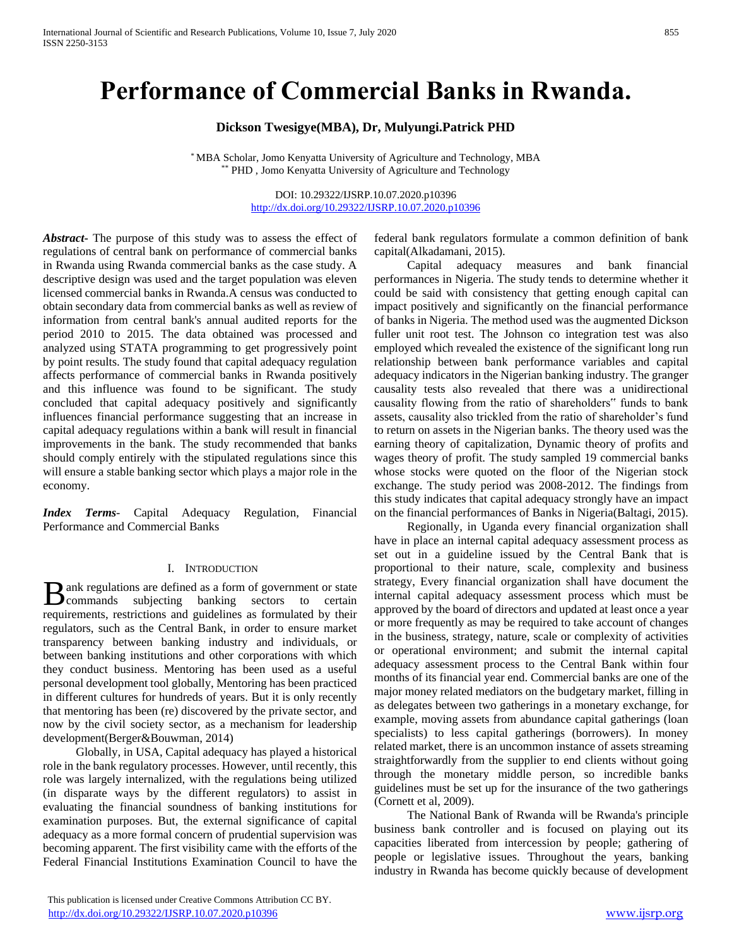# **Performance of Commercial Banks in Rwanda.**

# **Dickson Twesigye(MBA), Dr, Mulyungi.Patrick PHD**

\* MBA Scholar, Jomo Kenyatta University of Agriculture and Technology, MBA \* PHD, Jomo Kenyatta University of Agriculture and Technology

> DOI: 10.29322/IJSRP.10.07.2020.p10396 <http://dx.doi.org/10.29322/IJSRP.10.07.2020.p10396>

*Abstract***-** The purpose of this study was to assess the effect of regulations of central bank on performance of commercial banks in Rwanda using Rwanda commercial banks as the case study. A descriptive design was used and the target population was eleven licensed commercial banks in Rwanda.A census was conducted to obtain secondary data from commercial banks as well as review of information from central bank's annual audited reports for the period 2010 to 2015. The data obtained was processed and analyzed using STATA programming to get progressively point by point results. The study found that capital adequacy regulation affects performance of commercial banks in Rwanda positively and this influence was found to be significant. The study concluded that capital adequacy positively and significantly influences financial performance suggesting that an increase in capital adequacy regulations within a bank will result in financial improvements in the bank. The study recommended that banks should comply entirely with the stipulated regulations since this will ensure a stable banking sector which plays a major role in the economy.

*Index Terms*- Capital Adequacy Regulation, Financial Performance and Commercial Banks

#### I. INTRODUCTION

ank regulations are defined as a form of government or state **B** ank regulations are defined as a form of government or state commands subjecting banking sectors to certain requirements, restrictions and guidelines as formulated by their regulators, such as the Central Bank, in order to ensure market transparency between banking industry and individuals, or between banking institutions and other corporations with which they conduct business. Mentoring has been used as a useful personal development tool globally, Mentoring has been practiced in different cultures for hundreds of years. But it is only recently that mentoring has been (re) discovered by the private sector, and now by the civil society sector, as a mechanism for leadership development(Berger&Bouwman, 2014)

 Globally, in USA, Capital adequacy has played a historical role in the bank regulatory processes. However, until recently, this role was largely internalized, with the regulations being utilized (in disparate ways by the different regulators) to assist in evaluating the financial soundness of banking institutions for examination purposes. But, the external significance of capital adequacy as a more formal concern of prudential supervision was becoming apparent. The first visibility came with the efforts of the Federal Financial Institutions Examination Council to have the

 This publication is licensed under Creative Commons Attribution CC BY. <http://dx.doi.org/10.29322/IJSRP.10.07.2020.p10396> [www.ijsrp.org](http://ijsrp.org/)

federal bank regulators formulate a common definition of bank capital(Alkadamani, 2015).

 Capital adequacy measures and bank financial performances in Nigeria. The study tends to determine whether it could be said with consistency that getting enough capital can impact positively and significantly on the financial performance of banks in Nigeria. The method used was the augmented Dickson fuller unit root test. The Johnson co integration test was also employed which revealed the existence of the significant long run relationship between bank performance variables and capital adequacy indicators in the Nigerian banking industry. The granger causality tests also revealed that there was a unidirectional causality flowing from the ratio of shareholders" funds to bank assets, causality also trickled from the ratio of shareholder's fund to return on assets in the Nigerian banks. The theory used was the earning theory of capitalization, Dynamic theory of profits and wages theory of profit. The study sampled 19 commercial banks whose stocks were quoted on the floor of the Nigerian stock exchange. The study period was 2008-2012. The findings from this study indicates that capital adequacy strongly have an impact on the financial performances of Banks in Nigeria(Baltagi, 2015).

 Regionally, in Uganda every financial organization shall have in place an internal capital adequacy assessment process as set out in a guideline issued by the Central Bank that is proportional to their nature, scale, complexity and business strategy, Every financial organization shall have document the internal capital adequacy assessment process which must be approved by the board of directors and updated at least once a year or more frequently as may be required to take account of changes in the business, strategy, nature, scale or complexity of activities or operational environment; and submit the internal capital adequacy assessment process to the Central Bank within four months of its financial year end. Commercial banks are one of the major money related mediators on the budgetary market, filling in as delegates between two gatherings in a monetary exchange, for example, moving assets from abundance capital gatherings (loan specialists) to less capital gatherings (borrowers). In money related market, there is an uncommon instance of assets streaming straightforwardly from the supplier to end clients without going through the monetary middle person, so incredible banks guidelines must be set up for the insurance of the two gatherings (Cornett et al, 2009).

 The National Bank of Rwanda will be Rwanda's principle business bank controller and is focused on playing out its capacities liberated from intercession by people; gathering of people or legislative issues. Throughout the years, banking industry in Rwanda has become quickly because of development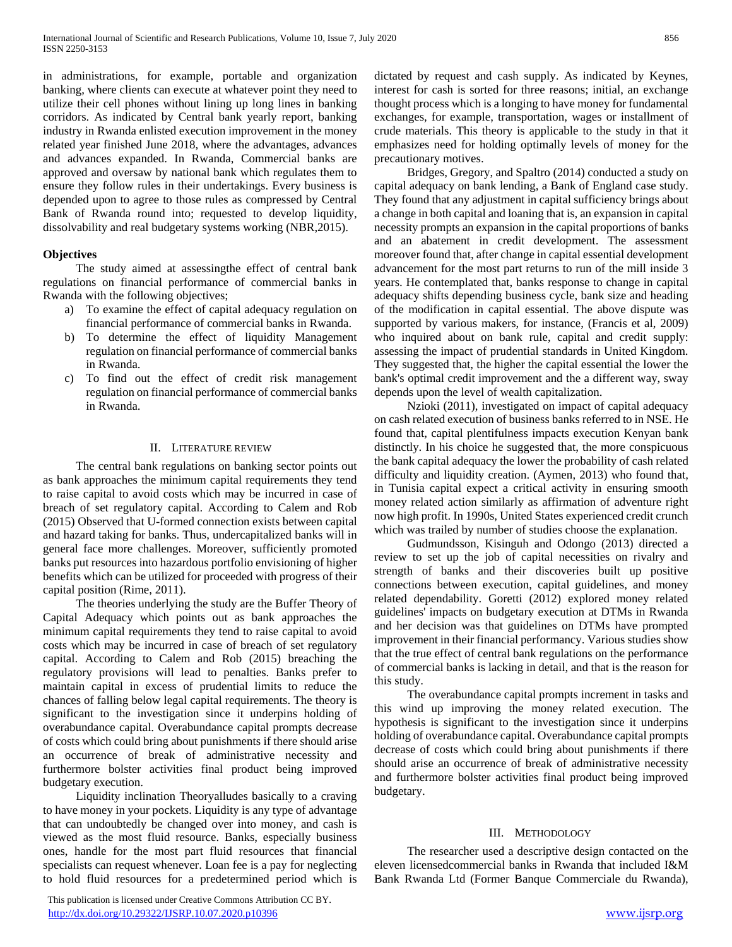in administrations, for example, portable and organization banking, where clients can execute at whatever point they need to utilize their cell phones without lining up long lines in banking corridors. As indicated by Central bank yearly report, banking industry in Rwanda enlisted execution improvement in the money related year finished June 2018, where the advantages, advances and advances expanded. In Rwanda, Commercial banks are approved and oversaw by national bank which regulates them to ensure they follow rules in their undertakings. Every business is depended upon to agree to those rules as compressed by Central Bank of Rwanda round into; requested to develop liquidity, dissolvability and real budgetary systems working (NBR,2015).

# **Objectives**

 The study aimed at assessingthe effect of central bank regulations on financial performance of commercial banks in Rwanda with the following objectives;

- a) To examine the effect of capital adequacy regulation on financial performance of commercial banks in Rwanda.
- b) To determine the effect of liquidity Management regulation on financial performance of commercial banks in Rwanda.
- c) To find out the effect of credit risk management regulation on financial performance of commercial banks in Rwanda.

#### II. LITERATURE REVIEW

 The central bank regulations on banking sector points out as bank approaches the minimum capital requirements they tend to raise capital to avoid costs which may be incurred in case of breach of set regulatory capital. According to Calem and Rob (2015) Observed that U-formed connection exists between capital and hazard taking for banks. Thus, undercapitalized banks will in general face more challenges. Moreover, sufficiently promoted banks put resources into hazardous portfolio envisioning of higher benefits which can be utilized for proceeded with progress of their capital position (Rime, 2011).

 The theories underlying the study are the Buffer Theory of Capital Adequacy which points out as bank approaches the minimum capital requirements they tend to raise capital to avoid costs which may be incurred in case of breach of set regulatory capital. According to Calem and Rob (2015) breaching the regulatory provisions will lead to penalties. Banks prefer to maintain capital in excess of prudential limits to reduce the chances of falling below legal capital requirements. The theory is significant to the investigation since it underpins holding of overabundance capital. Overabundance capital prompts decrease of costs which could bring about punishments if there should arise an occurrence of break of administrative necessity and furthermore bolster activities final product being improved budgetary execution.

 Liquidity inclination Theoryalludes basically to a craving to have money in your pockets. Liquidity is any type of advantage that can undoubtedly be changed over into money, and cash is viewed as the most fluid resource. Banks, especially business ones, handle for the most part fluid resources that financial specialists can request whenever. Loan fee is a pay for neglecting to hold fluid resources for a predetermined period which is

 This publication is licensed under Creative Commons Attribution CC BY. <http://dx.doi.org/10.29322/IJSRP.10.07.2020.p10396> [www.ijsrp.org](http://ijsrp.org/)

dictated by request and cash supply. As indicated by Keynes, interest for cash is sorted for three reasons; initial, an exchange thought process which is a longing to have money for fundamental exchanges, for example, transportation, wages or installment of crude materials. This theory is applicable to the study in that it emphasizes need for holding optimally levels of money for the precautionary motives.

 Bridges, Gregory, and Spaltro (2014) conducted a study on capital adequacy on bank lending, a Bank of England case study. They found that any adjustment in capital sufficiency brings about a change in both capital and loaning that is, an expansion in capital necessity prompts an expansion in the capital proportions of banks and an abatement in credit development. The assessment moreover found that, after change in capital essential development advancement for the most part returns to run of the mill inside 3 years. He contemplated that, banks response to change in capital adequacy shifts depending business cycle, bank size and heading of the modification in capital essential. The above dispute was supported by various makers, for instance, (Francis et al, 2009) who inquired about on bank rule, capital and credit supply: assessing the impact of prudential standards in United Kingdom. They suggested that, the higher the capital essential the lower the bank's optimal credit improvement and the a different way, sway depends upon the level of wealth capitalization.

 Nzioki (2011), investigated on impact of capital adequacy on cash related execution of business banks referred to in NSE. He found that, capital plentifulness impacts execution Kenyan bank distinctly. In his choice he suggested that, the more conspicuous the bank capital adequacy the lower the probability of cash related difficulty and liquidity creation. (Aymen, 2013) who found that, in Tunisia capital expect a critical activity in ensuring smooth money related action similarly as affirmation of adventure right now high profit. In 1990s, United States experienced credit crunch which was trailed by number of studies choose the explanation.

 Gudmundsson, Kisinguh and Odongo (2013) directed a review to set up the job of capital necessities on rivalry and strength of banks and their discoveries built up positive connections between execution, capital guidelines, and money related dependability. Goretti (2012) explored money related guidelines' impacts on budgetary execution at DTMs in Rwanda and her decision was that guidelines on DTMs have prompted improvement in their financial performancy. Various studies show that the true effect of central bank regulations on the performance of commercial banks is lacking in detail, and that is the reason for this study.

 The overabundance capital prompts increment in tasks and this wind up improving the money related execution. The hypothesis is significant to the investigation since it underpins holding of overabundance capital. Overabundance capital prompts decrease of costs which could bring about punishments if there should arise an occurrence of break of administrative necessity and furthermore bolster activities final product being improved budgetary.

#### III. METHODOLOGY

 The researcher used a descriptive design contacted on the eleven licensedcommercial banks in Rwanda that included I&M Bank Rwanda Ltd (Former Banque Commerciale du Rwanda),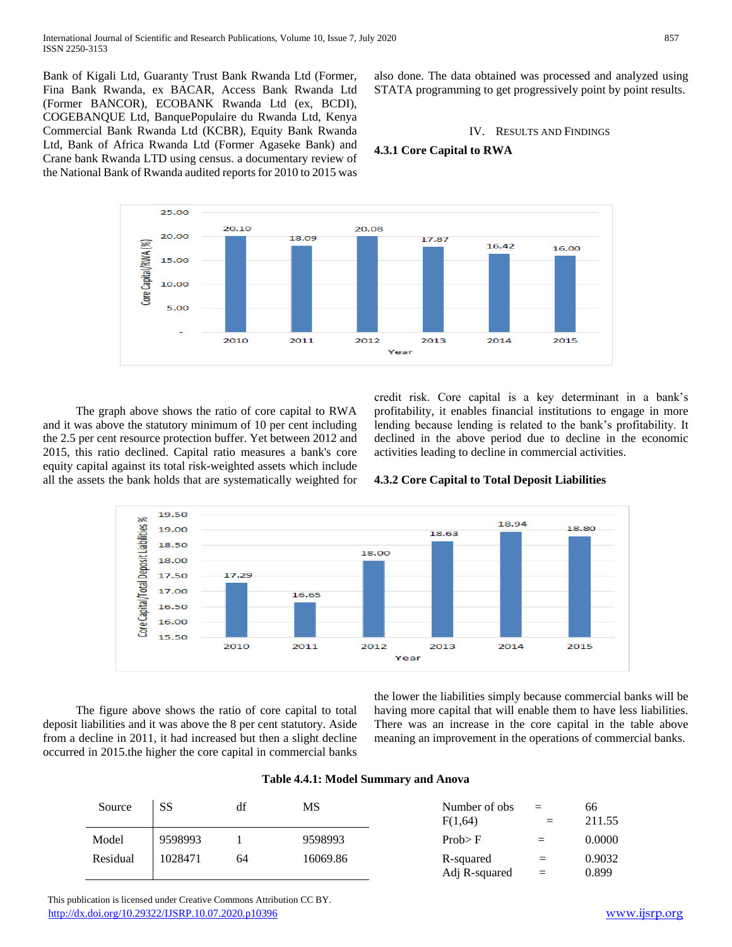Bank of Kigali Ltd, Guaranty Trust Bank Rwanda Ltd (Former, Fina Bank Rwanda, ex BACAR, Access Bank Rwanda Ltd (Former BANCOR), ECOBANK Rwanda Ltd (ex, BCDI), COGEBANQUE Ltd, BanquePopulaire du Rwanda Ltd, Kenya Commercial Bank Rwanda Ltd (KCBR), Equity Bank Rwanda Ltd, Bank of Africa Rwanda Ltd (Former Agaseke Bank) and Crane bank Rwanda LTD using census. a documentary review of the National Bank of Rwanda audited reports for 2010 to 2015 was also done. The data obtained was processed and analyzed using STATA programming to get progressively point by point results.

# IV. RESULTS AND FINDINGS

# **4.3.1 Core Capital to RWA**



 The graph above shows the ratio of core capital to RWA and it was above the statutory minimum of 10 per cent including the 2.5 per cent resource protection buffer. Yet between 2012 and 2015, this ratio declined. Capital ratio measures a bank's core equity capital against its total risk-weighted assets which include all the assets the bank holds that are systematically weighted for credit risk. Core capital is a key determinant in a bank's profitability, it enables financial institutions to engage in more lending because lending is related to the bank's profitability. It declined in the above period due to decline in the economic activities leading to decline in commercial activities.

# **4.3.2 Core Capital to Total Deposit Liabilities**



 The figure above shows the ratio of core capital to total deposit liabilities and it was above the 8 per cent statutory. Aside from a decline in 2011, it had increased but then a slight decline occurred in 2015.the higher the core capital in commercial banks

the lower the liabilities simply because commercial banks will be having more capital that will enable them to have less liabilities. There was an increase in the core capital in the table above meaning an improvement in the operations of commercial banks.

# **Table 4.4.1: Model Summary and Anova**

| Source   | SS      | df | MS       | Number of obs<br>F(1,64)   | $=$<br>$\equiv$ | 66<br>211.55    |
|----------|---------|----|----------|----------------------------|-----------------|-----------------|
| Model    | 9598993 |    | 9598993  | Prob > F                   | $=$             | 0.0000          |
| Residual | 1028471 | 64 | 16069.86 | R-squared<br>Adj R-squared | $=$<br>$=$      | 0.9032<br>0.899 |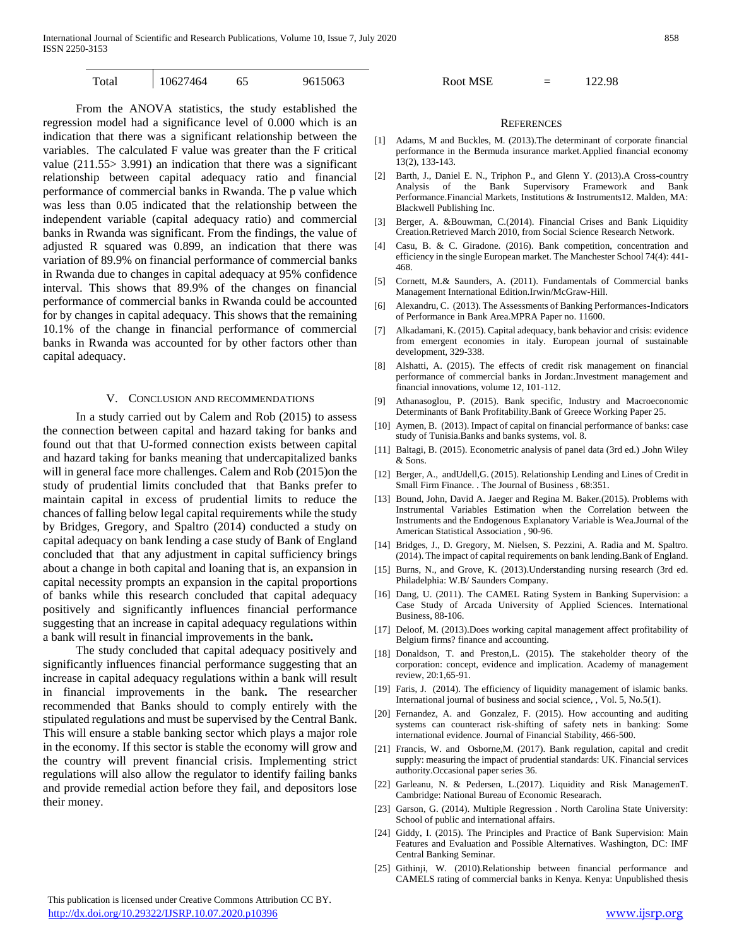International Journal of Scientific and Research Publications, Volume 10, Issue 7, July 2020 858 ISSN 2250-3153

| Total | 10627464 | $\sim$<br>ບມ | 9615063 | <b>Root MSE</b> | 122.98 |
|-------|----------|--------------|---------|-----------------|--------|
|       |          |              |         |                 |        |

 From the ANOVA statistics, the study established the regression model had a significance level of 0.000 which is an indication that there was a significant relationship between the variables. The calculated F value was greater than the F critical value (211.55> 3.991) an indication that there was a significant relationship between capital adequacy ratio and financial performance of commercial banks in Rwanda. The p value which was less than 0.05 indicated that the relationship between the independent variable (capital adequacy ratio) and commercial banks in Rwanda was significant. From the findings, the value of adjusted R squared was 0.899, an indication that there was variation of 89.9% on financial performance of commercial banks in Rwanda due to changes in capital adequacy at 95% confidence interval. This shows that 89.9% of the changes on financial performance of commercial banks in Rwanda could be accounted for by changes in capital adequacy. This shows that the remaining 10.1% of the change in financial performance of commercial banks in Rwanda was accounted for by other factors other than capital adequacy.

#### V. CONCLUSION AND RECOMMENDATIONS

 In a study carried out by Calem and Rob (2015) to assess the connection between capital and hazard taking for banks and found out that that U-formed connection exists between capital and hazard taking for banks meaning that undercapitalized banks will in general face more challenges. Calem and Rob (2015)on the study of prudential limits concluded that that Banks prefer to maintain capital in excess of prudential limits to reduce the chances of falling below legal capital requirements while the study by Bridges, Gregory, and Spaltro (2014) conducted a study on capital adequacy on bank lending a case study of Bank of England concluded that that any adjustment in capital sufficiency brings about a change in both capital and loaning that is, an expansion in capital necessity prompts an expansion in the capital proportions of banks while this research concluded that capital adequacy positively and significantly influences financial performance suggesting that an increase in capital adequacy regulations within a bank will result in financial improvements in the bank**.**

 The study concluded that capital adequacy positively and significantly influences financial performance suggesting that an increase in capital adequacy regulations within a bank will result in financial improvements in the bank**.** The researcher recommended that Banks should to comply entirely with the stipulated regulations and must be supervised by the Central Bank. This will ensure a stable banking sector which plays a major role in the economy. If this sector is stable the economy will grow and the country will prevent financial crisis. Implementing strict regulations will also allow the regulator to identify failing banks and provide remedial action before they fail, and depositors lose their money.

#### **REFERENCES**

- [1] Adams, M and Buckles, M. (2013).The determinant of corporate financial performance in the Bermuda insurance market.Applied financial economy 13(2), 133-143.
- [2] Barth, J., Daniel E. N., Triphon P., and Glenn Y. (2013).A Cross-country Analysis of the Bank Supervisory Framework and Bank Performance.Financial Markets, Institutions & Instruments12. Malden, MA: Blackwell Publishing Inc.
- [3] Berger, A. &Bouwman, C.(2014). Financial Crises and Bank Liquidity Creation.Retrieved March 2010, from Social Science Research Network.
- [4] Casu, B. & C. Giradone. (2016). Bank competition, concentration and efficiency in the single European market. The Manchester School 74(4): 441- 468.
- [5] Cornett, M.& Saunders, A. (2011). Fundamentals of Commercial banks Management International Edition.Irwin/McGraw-Hill.
- [6] Alexandru, C. (2013). The Assessments of Banking Performances-Indicators of Performance in Bank Area.MPRA Paper no. 11600.
- [7] Alkadamani, K. (2015). Capital adequacy, bank behavior and crisis: evidence from emergent economies in italy. European journal of sustainable development, 329-338.
- [8] Alshatti, A. (2015). The effects of credit risk management on financial performance of commercial banks in Jordan:.Investment management and financial innovations, volume 12, 101-112.
- [9] Athanasoglou, P. (2015). Bank specific, Industry and Macroeconomic Determinants of Bank Profitability.Bank of Greece Working Paper 25.
- [10] Aymen, B. (2013). Impact of capital on financial performance of banks: case study of Tunisia.Banks and banks systems, vol. 8.
- [11] Baltagi, B. (2015). Econometric analysis of panel data (3rd ed.) .John Wiley & Sons.
- [12] Berger, A., andUdell,G. (2015). Relationship Lending and Lines of Credit in Small Firm Finance. . The Journal of Business , 68:351.
- [13] Bound, John, David A. Jaeger and Regina M. Baker.(2015). Problems with Instrumental Variables Estimation when the Correlation between the Instruments and the Endogenous Explanatory Variable is Wea.Journal of the American Statistical Association , 90-96.
- [14] Bridges, J., D. Gregory, M. Nielsen, S. Pezzini, A. Radia and M. Spaltro. (2014). The impact of capital requirements on bank lending.Bank of England.
- [15] Burns, N., and Grove, K. (2013).Understanding nursing research (3rd ed. Philadelphia: W.B/ Saunders Company.
- [16] Dang, U. (2011). The CAMEL Rating System in Banking Supervision: a Case Study of Arcada University of Applied Sciences. International Business, 88-106.
- [17] Deloof, M. (2013).Does working capital management affect profitability of Belgium firms? finance and accounting.
- [18] Donaldson, T. and Preston, L. (2015). The stakeholder theory of the corporation: concept, evidence and implication. Academy of management review, 20:1,65-91.
- [19] Faris, J. (2014). The efficiency of liquidity management of islamic banks. International journal of business and social science, , Vol. 5, No.5(1).
- [20] Fernandez, A. and Gonzalez, F. (2015). How accounting and auditing systems can counteract risk-shifting of safety nets in banking: Some international evidence. Journal of Financial Stability, 466-500.
- [21] Francis, W. and Osborne,M. (2017). Bank regulation, capital and credit supply: measuring the impact of prudential standards: UK. Financial services authority.Occasional paper series 36.
- [22] Garleanu, N. & Pedersen, L.(2017). Liquidity and Risk ManagemenT. Cambridge: National Bureau of Economic Researach.
- [23] Garson, G. (2014). Multiple Regression . North Carolina State University: School of public and international affairs.
- [24] Giddy, I. (2015). The Principles and Practice of Bank Supervision: Main Features and Evaluation and Possible Alternatives. Washington, DC: IMF Central Banking Seminar.
- [25] Githinji, W. (2010).Relationship between financial performance and CAMELS rating of commercial banks in Kenya. Kenya: Unpublished thesis